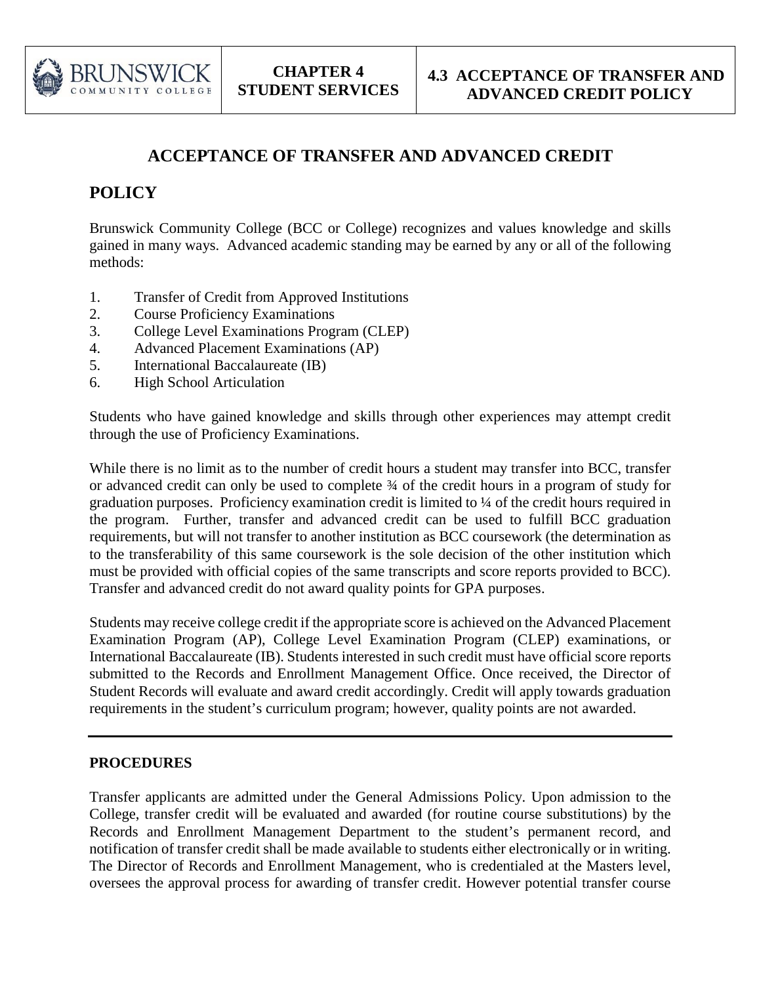

## **ACCEPTANCE OF TRANSFER AND ADVANCED CREDIT**

## **POLICY**

Brunswick Community College (BCC or College) recognizes and values knowledge and skills gained in many ways. Advanced academic standing may be earned by any or all of the following methods:

- 1. Transfer of Credit from Approved Institutions
- 2. Course Proficiency Examinations
- 3. College Level Examinations Program (CLEP)
- 4. Advanced Placement Examinations (AP)
- 5. International Baccalaureate (IB)
- 6. High School Articulation

Students who have gained knowledge and skills through other experiences may attempt credit through the use of Proficiency Examinations.

While there is no limit as to the number of credit hours a student may transfer into BCC, transfer or advanced credit can only be used to complete ¾ of the credit hours in a program of study for graduation purposes. Proficiency examination credit is limited to ¼ of the credit hours required in the program. Further, transfer and advanced credit can be used to fulfill BCC graduation requirements, but will not transfer to another institution as BCC coursework (the determination as to the transferability of this same coursework is the sole decision of the other institution which must be provided with official copies of the same transcripts and score reports provided to BCC). Transfer and advanced credit do not award quality points for GPA purposes.

Students may receive college credit if the appropriate score is achieved on the Advanced Placement Examination Program (AP), College Level Examination Program (CLEP) examinations, or International Baccalaureate (IB). Students interested in such credit must have official score reports submitted to the Records and Enrollment Management Office. Once received, the Director of Student Records will evaluate and award credit accordingly. Credit will apply towards graduation requirements in the student's curriculum program; however, quality points are not awarded.

## **PROCEDURES**

Transfer applicants are admitted under the General Admissions Policy. Upon admission to the College, transfer credit will be evaluated and awarded (for routine course substitutions) by the Records and Enrollment Management Department to the student's permanent record, and notification of transfer credit shall be made available to students either electronically or in writing. The Director of Records and Enrollment Management, who is credentialed at the Masters level, oversees the approval process for awarding of transfer credit. However potential transfer course